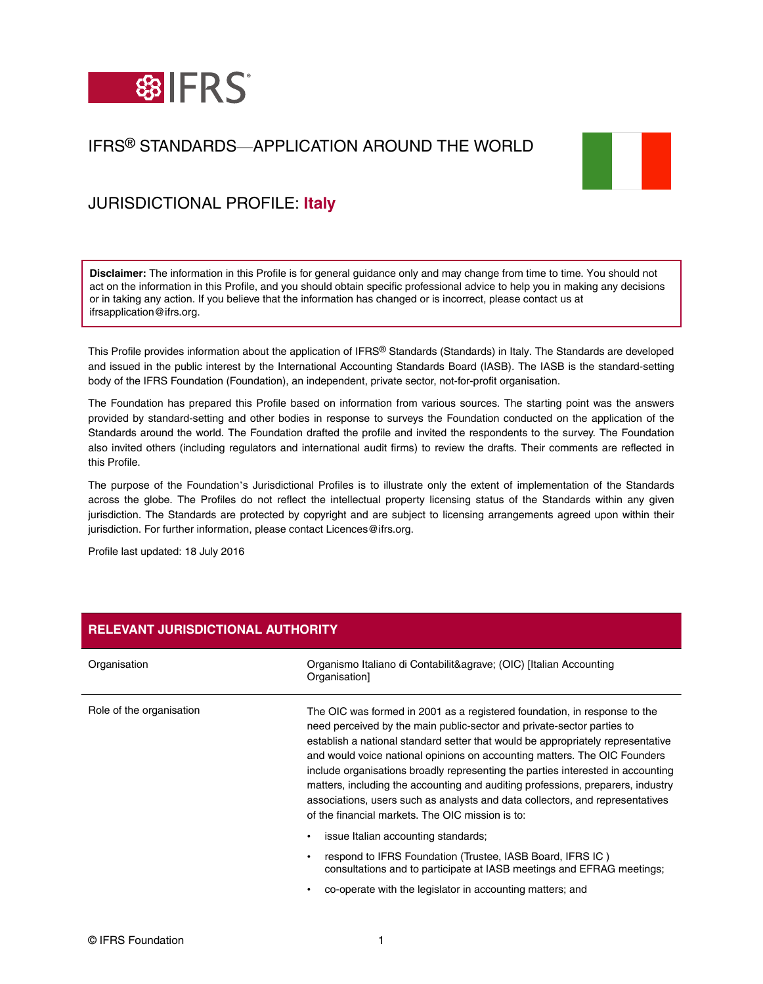

# IFRS® STANDARDS—APPLICATION AROUND THE WORLD



# JURISDICTIONAL PROFILE: **Italy**

**Disclaimer:** The information in this Profile is for general guidance only and may change from time to time. You should not act on the information in this Profile, and you should obtain specific professional advice to help you in making any decisions or in taking any action. If you believe that the information has changed or is incorrect, please contact us at ifrsapplication@ifrs.org.

This Profile provides information about the application of IFRS® Standards (Standards) in Italy. The Standards are developed and issued in the public interest by the International Accounting Standards Board (IASB). The IASB is the standard-setting body of the IFRS Foundation (Foundation), an independent, private sector, not-for-profit organisation.

The Foundation has prepared this Profile based on information from various sources. The starting point was the answers provided by standard-setting and other bodies in response to surveys the Foundation conducted on the application of the Standards around the world. The Foundation drafted the profile and invited the respondents to the survey. The Foundation also invited others (including regulators and international audit firms) to review the drafts. Their comments are reflected in this Profile.

The purpose of the Foundation's Jurisdictional Profiles is to illustrate only the extent of implementation of the Standards across the globe. The Profiles do not reflect the intellectual property licensing status of the Standards within any given jurisdiction. The Standards are protected by copyright and are subject to licensing arrangements agreed upon within their jurisdiction. For further information, please contact Licences@ifrs.org.

Profile last updated: 18 July 2016

| <b>RELEVANT JURISDICTIONAL AUTHORITY</b> |                                                                                                                                                                                                                                                                                                                                                                                                                                                                                                                                                                                                                                |
|------------------------------------------|--------------------------------------------------------------------------------------------------------------------------------------------------------------------------------------------------------------------------------------------------------------------------------------------------------------------------------------------------------------------------------------------------------------------------------------------------------------------------------------------------------------------------------------------------------------------------------------------------------------------------------|
| Organisation                             | Organismo Italiano di Contabilità (OIC) [Italian Accounting<br>Organisation]                                                                                                                                                                                                                                                                                                                                                                                                                                                                                                                                                   |
| Role of the organisation                 | The OIC was formed in 2001 as a registered foundation, in response to the<br>need perceived by the main public-sector and private-sector parties to<br>establish a national standard setter that would be appropriately representative<br>and would voice national opinions on accounting matters. The OIC Founders<br>include organisations broadly representing the parties interested in accounting<br>matters, including the accounting and auditing professions, preparers, industry<br>associations, users such as analysts and data collectors, and representatives<br>of the financial markets. The OIC mission is to: |
|                                          | issue Italian accounting standards;                                                                                                                                                                                                                                                                                                                                                                                                                                                                                                                                                                                            |
|                                          | respond to IFRS Foundation (Trustee, IASB Board, IFRS IC)<br>consultations and to participate at IASB meetings and EFRAG meetings;                                                                                                                                                                                                                                                                                                                                                                                                                                                                                             |
|                                          | co-operate with the legislator in accounting matters; and                                                                                                                                                                                                                                                                                                                                                                                                                                                                                                                                                                      |

### © IFRS Foundation 1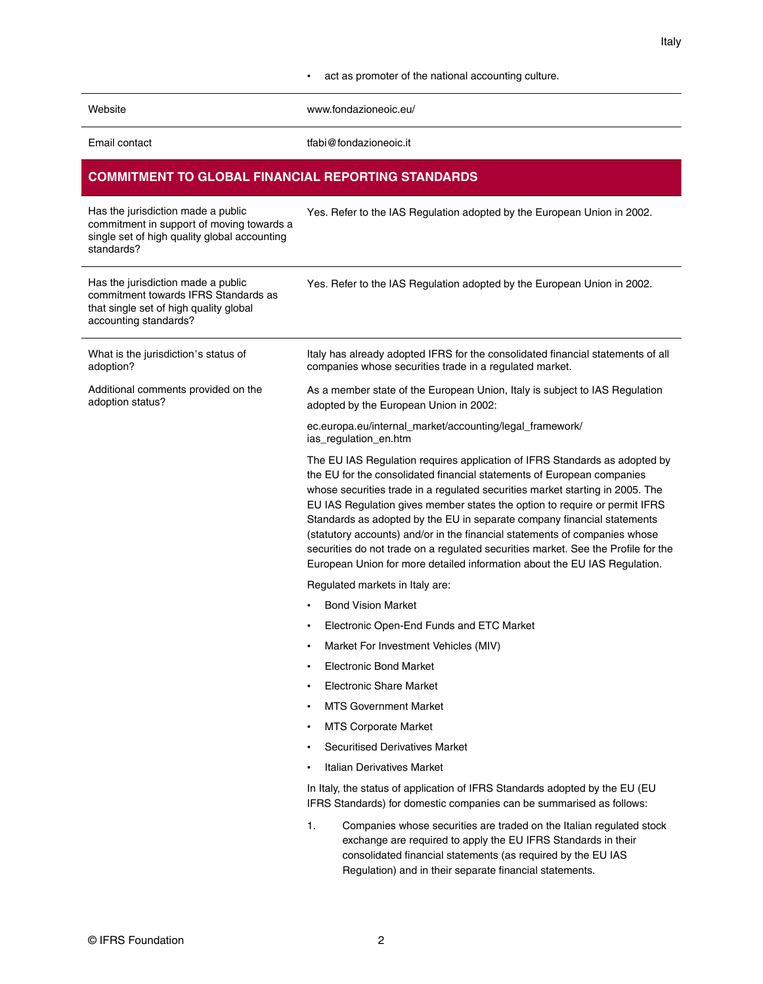#### • act as promoter of the national accounting culture.

| Website |
|---------|
|         |

[www.fondazioneoic.eu/](http://www.fondazioneoic.eu/)

| Email contact |
|---------------|
|               |

[tfabi@fondazioneoic.it](mailto:tfabi@fondazioneoic.it)

## **COMMITMENT TO GLOBAL FINANCIAL REPORTING STANDARDS**

| Has the jurisdiction made a public<br>commitment in support of moving towards a<br>single set of high quality global accounting<br>standards? | Yes. Refer to the IAS Regulation adopted by the European Union in 2002.                                                                                                                                                                                                                                                                                                                                                                                                                                                                                                                                                                        |
|-----------------------------------------------------------------------------------------------------------------------------------------------|------------------------------------------------------------------------------------------------------------------------------------------------------------------------------------------------------------------------------------------------------------------------------------------------------------------------------------------------------------------------------------------------------------------------------------------------------------------------------------------------------------------------------------------------------------------------------------------------------------------------------------------------|
| Has the jurisdiction made a public<br>commitment towards IFRS Standards as<br>that single set of high quality global<br>accounting standards? | Yes. Refer to the IAS Regulation adopted by the European Union in 2002.                                                                                                                                                                                                                                                                                                                                                                                                                                                                                                                                                                        |
| What is the jurisdiction's status of<br>adoption?                                                                                             | Italy has already adopted IFRS for the consolidated financial statements of all<br>companies whose securities trade in a regulated market.                                                                                                                                                                                                                                                                                                                                                                                                                                                                                                     |
| Additional comments provided on the<br>adoption status?                                                                                       | As a member state of the European Union, Italy is subject to IAS Regulation<br>adopted by the European Union in 2002:                                                                                                                                                                                                                                                                                                                                                                                                                                                                                                                          |
|                                                                                                                                               | ec.europa.eu/internal_market/accounting/legal_framework/<br>ias_regulation_en.htm                                                                                                                                                                                                                                                                                                                                                                                                                                                                                                                                                              |
|                                                                                                                                               | The EU IAS Regulation requires application of IFRS Standards as adopted by<br>the EU for the consolidated financial statements of European companies<br>whose securities trade in a regulated securities market starting in 2005. The<br>EU IAS Regulation gives member states the option to require or permit IFRS<br>Standards as adopted by the EU in separate company financial statements<br>(statutory accounts) and/or in the financial statements of companies whose<br>securities do not trade on a regulated securities market. See the Profile for the<br>European Union for more detailed information about the EU IAS Regulation. |
|                                                                                                                                               | Regulated markets in Italy are:                                                                                                                                                                                                                                                                                                                                                                                                                                                                                                                                                                                                                |
|                                                                                                                                               | <b>Bond Vision Market</b>                                                                                                                                                                                                                                                                                                                                                                                                                                                                                                                                                                                                                      |
|                                                                                                                                               | Electronic Open-End Funds and ETC Market<br>٠                                                                                                                                                                                                                                                                                                                                                                                                                                                                                                                                                                                                  |
|                                                                                                                                               | Market For Investment Vehicles (MIV)<br>$\bullet$                                                                                                                                                                                                                                                                                                                                                                                                                                                                                                                                                                                              |
|                                                                                                                                               | <b>Electronic Bond Market</b><br>٠                                                                                                                                                                                                                                                                                                                                                                                                                                                                                                                                                                                                             |
|                                                                                                                                               | <b>Electronic Share Market</b><br>٠                                                                                                                                                                                                                                                                                                                                                                                                                                                                                                                                                                                                            |
|                                                                                                                                               | <b>MTS Government Market</b><br>٠                                                                                                                                                                                                                                                                                                                                                                                                                                                                                                                                                                                                              |
|                                                                                                                                               | <b>MTS Corporate Market</b><br>٠                                                                                                                                                                                                                                                                                                                                                                                                                                                                                                                                                                                                               |
|                                                                                                                                               | Securitised Derivatives Market                                                                                                                                                                                                                                                                                                                                                                                                                                                                                                                                                                                                                 |
|                                                                                                                                               | Italian Derivatives Market                                                                                                                                                                                                                                                                                                                                                                                                                                                                                                                                                                                                                     |
|                                                                                                                                               | In Italy, the status of application of IFRS Standards adopted by the EU (EU<br>IFRS Standards) for domestic companies can be summarised as follows:                                                                                                                                                                                                                                                                                                                                                                                                                                                                                            |
|                                                                                                                                               | 1.<br>Companies whose securities are traded on the Italian regulated stock<br>exchange are required to apply the EU IFRS Standards in their<br>consolidated financial statements (as required by the EU IAS<br>Regulation) and in their separate financial statements.                                                                                                                                                                                                                                                                                                                                                                         |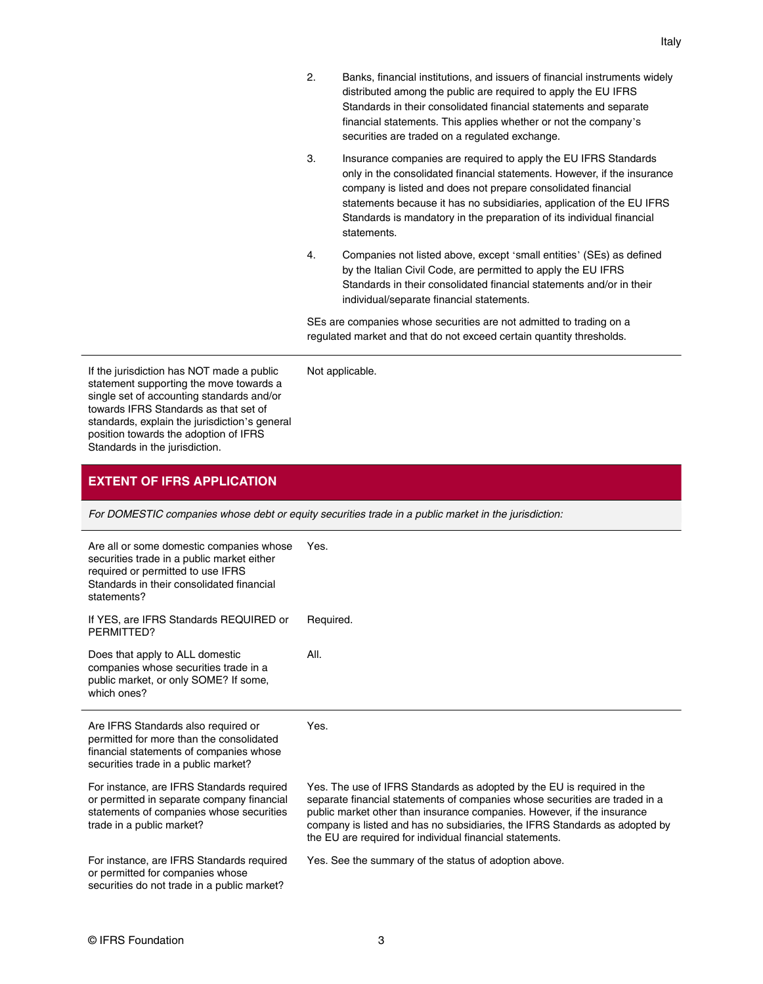- 2. Banks, financial institutions, and issuers of financial instruments widely distributed among the public are required to apply the EU IFRS Standards in their consolidated financial statements and separate financial statements. This applies whether or not the company's securities are traded on a regulated exchange.
- 3. Insurance companies are required to apply the EU IFRS Standards only in the consolidated financial statements. However, if the insurance company is listed and does not prepare consolidated financial statements because it has no subsidiaries, application of the EU IFRS Standards is mandatory in the preparation of its individual financial statements.
- 4. Companies not listed above, except 'small entities' (SEs) as defined by the Italian Civil Code, are permitted to apply the EU IFRS Standards in their consolidated financial statements and/or in their individual/separate financial statements.

SEs are companies whose securities are not admitted to trading on a regulated market and that do not exceed certain quantity thresholds.

If the jurisdiction has NOT made a public statement supporting the move towards a single set of accounting standards and/or towards IFRS Standards as that set of standards, explain the jurisdiction's general position towards the adoption of IFRS Standards in the jurisdiction.

### Not applicable.

#### **EXTENT OF IFRS APPLICATION**

For DOMESTIC companies whose debt or equity securities trade in a public market in the jurisdiction:

| Are all or some domestic companies whose<br>securities trade in a public market either<br>required or permitted to use IFRS<br>Standards in their consolidated financial<br>statements? | Yes.                                                                                                                                                                                                                                                                                                                                                                        |
|-----------------------------------------------------------------------------------------------------------------------------------------------------------------------------------------|-----------------------------------------------------------------------------------------------------------------------------------------------------------------------------------------------------------------------------------------------------------------------------------------------------------------------------------------------------------------------------|
| If YES, are IFRS Standards REQUIRED or<br>PERMITTED?                                                                                                                                    | Required.                                                                                                                                                                                                                                                                                                                                                                   |
| Does that apply to ALL domestic<br>companies whose securities trade in a<br>public market, or only SOME? If some,<br>which ones?                                                        | AII.                                                                                                                                                                                                                                                                                                                                                                        |
| Are IFRS Standards also required or<br>permitted for more than the consolidated<br>financial statements of companies whose<br>securities trade in a public market?                      | Yes.                                                                                                                                                                                                                                                                                                                                                                        |
| For instance, are IFRS Standards required<br>or permitted in separate company financial<br>statements of companies whose securities<br>trade in a public market?                        | Yes. The use of IFRS Standards as adopted by the EU is required in the<br>separate financial statements of companies whose securities are traded in a<br>public market other than insurance companies. However, if the insurance<br>company is listed and has no subsidiaries, the IFRS Standards as adopted by<br>the EU are required for individual financial statements. |
| For instance, are IFRS Standards required<br>or permitted for companies whose<br>securities do not trade in a public market?                                                            | Yes. See the summary of the status of adoption above.                                                                                                                                                                                                                                                                                                                       |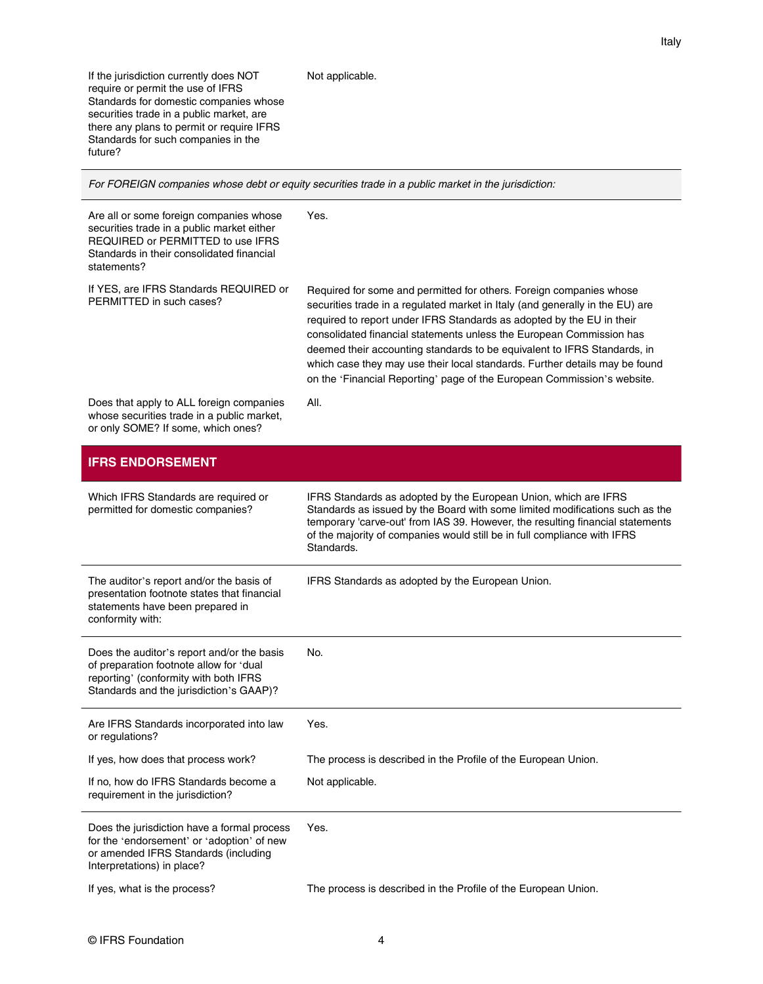If the jurisdiction currently does NOT require or permit the use of IFRS Standards for domestic companies whose securities trade in a public market, are there any plans to permit or require IFRS Standards for such companies in the future?

#### Not applicable.

For FOREIGN companies whose debt or equity securities trade in a public market in the jurisdiction:

| Are all or some foreign companies whose<br>securities trade in a public market either<br>REQUIRED or PERMITTED to use IFRS<br>Standards in their consolidated financial<br>statements? | Yes.                                                                                                                                                                                                                                                                                                                                                                                                                                                                                                                                        |
|----------------------------------------------------------------------------------------------------------------------------------------------------------------------------------------|---------------------------------------------------------------------------------------------------------------------------------------------------------------------------------------------------------------------------------------------------------------------------------------------------------------------------------------------------------------------------------------------------------------------------------------------------------------------------------------------------------------------------------------------|
| If YES, are IFRS Standards REQUIRED or<br>PERMITTED in such cases?                                                                                                                     | Required for some and permitted for others. Foreign companies whose<br>securities trade in a regulated market in Italy (and generally in the EU) are<br>required to report under IFRS Standards as adopted by the EU in their<br>consolidated financial statements unless the European Commission has<br>deemed their accounting standards to be equivalent to IFRS Standards, in<br>which case they may use their local standards. Further details may be found<br>on the 'Financial Reporting' page of the European Commission's website. |
| Does that apply to ALL foreign companies<br>whose securities trade in a public market,<br>or only SOME? If some, which ones?                                                           | All.                                                                                                                                                                                                                                                                                                                                                                                                                                                                                                                                        |
| <b>IFRS ENDORSEMENT</b>                                                                                                                                                                |                                                                                                                                                                                                                                                                                                                                                                                                                                                                                                                                             |
| Which IFRS Standards are required or<br>permitted for domestic companies?                                                                                                              | IFRS Standards as adopted by the European Union, which are IFRS<br>Standards as issued by the Board with some limited modifications such as the<br>temporary 'carve-out' from IAS 39. However, the resulting financial statements<br>of the majority of companies would still be in full compliance with IFRS<br>Standards.                                                                                                                                                                                                                 |
| The auditor's report and/or the basis of<br>presentation footnote states that financial<br>statements have been prepared in<br>conformity with:                                        | IFRS Standards as adopted by the European Union.                                                                                                                                                                                                                                                                                                                                                                                                                                                                                            |
| Does the auditor's report and/or the basis<br>of preparation footnote allow for 'dual<br>reporting' (conformity with both IFRS<br>Standards and the jurisdiction's GAAP)?              | No.                                                                                                                                                                                                                                                                                                                                                                                                                                                                                                                                         |
| Are IFRS Standards incorporated into law<br>or regulations?                                                                                                                            | Yes.                                                                                                                                                                                                                                                                                                                                                                                                                                                                                                                                        |
| If yes, how does that process work?                                                                                                                                                    | The process is described in the Profile of the European Union.                                                                                                                                                                                                                                                                                                                                                                                                                                                                              |
| If no, how do IFRS Standards become a<br>requirement in the jurisdiction?                                                                                                              | Not applicable.                                                                                                                                                                                                                                                                                                                                                                                                                                                                                                                             |
| Does the jurisdiction have a formal process<br>for the 'endorsement' or 'adoption' of new<br>or amended IFRS Standards (including<br>Interpretations) in place?                        | Yes.                                                                                                                                                                                                                                                                                                                                                                                                                                                                                                                                        |
| If yes, what is the process?                                                                                                                                                           | The process is described in the Profile of the European Union.                                                                                                                                                                                                                                                                                                                                                                                                                                                                              |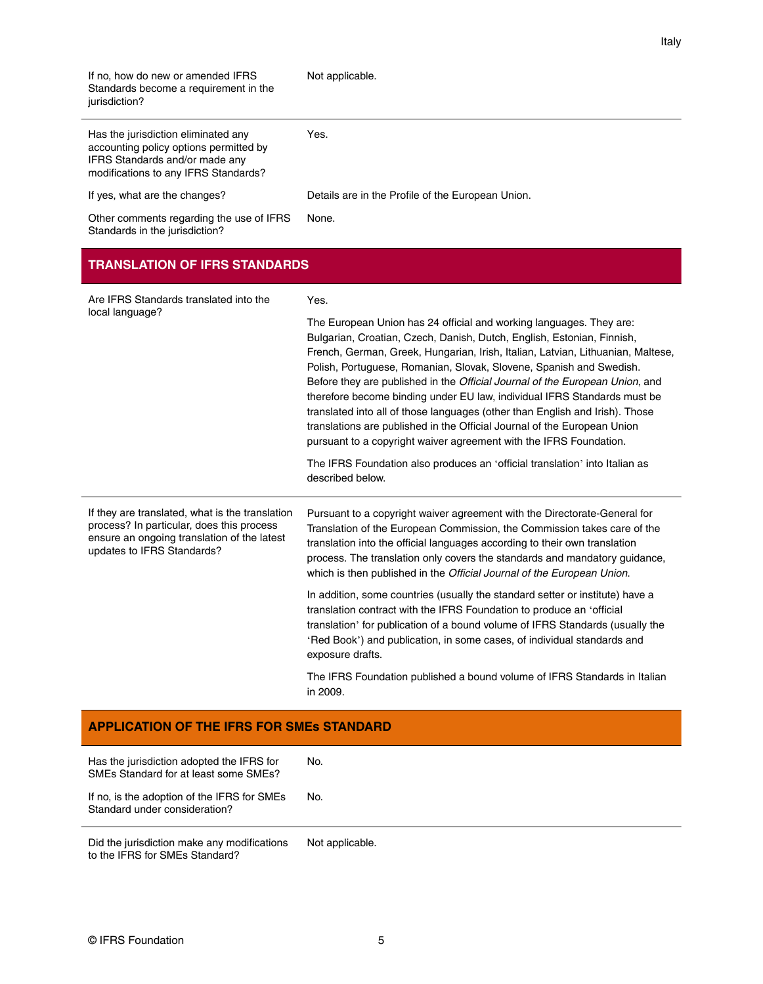| If no, how do new or amended IFRS<br>Standards become a requirement in the<br>jurisdiction?                                                                               | Not applicable.                                                                                                                                                                                                                                                                                                                                                                                                                                                                                                                                                                                                                                                                                                                                                                                          |
|---------------------------------------------------------------------------------------------------------------------------------------------------------------------------|----------------------------------------------------------------------------------------------------------------------------------------------------------------------------------------------------------------------------------------------------------------------------------------------------------------------------------------------------------------------------------------------------------------------------------------------------------------------------------------------------------------------------------------------------------------------------------------------------------------------------------------------------------------------------------------------------------------------------------------------------------------------------------------------------------|
| Has the jurisdiction eliminated any<br>accounting policy options permitted by<br>IFRS Standards and/or made any<br>modifications to any IFRS Standards?                   | Yes.                                                                                                                                                                                                                                                                                                                                                                                                                                                                                                                                                                                                                                                                                                                                                                                                     |
| If yes, what are the changes?                                                                                                                                             | Details are in the Profile of the European Union.                                                                                                                                                                                                                                                                                                                                                                                                                                                                                                                                                                                                                                                                                                                                                        |
| Other comments regarding the use of IFRS<br>Standards in the jurisdiction?                                                                                                | None.                                                                                                                                                                                                                                                                                                                                                                                                                                                                                                                                                                                                                                                                                                                                                                                                    |
| <b>TRANSLATION OF IFRS STANDARDS</b>                                                                                                                                      |                                                                                                                                                                                                                                                                                                                                                                                                                                                                                                                                                                                                                                                                                                                                                                                                          |
| Are IFRS Standards translated into the                                                                                                                                    | Yes.                                                                                                                                                                                                                                                                                                                                                                                                                                                                                                                                                                                                                                                                                                                                                                                                     |
| local language?                                                                                                                                                           | The European Union has 24 official and working languages. They are:<br>Bulgarian, Croatian, Czech, Danish, Dutch, English, Estonian, Finnish,<br>French, German, Greek, Hungarian, Irish, Italian, Latvian, Lithuanian, Maltese,<br>Polish, Portuguese, Romanian, Slovak, Slovene, Spanish and Swedish.<br>Before they are published in the Official Journal of the European Union, and<br>therefore become binding under EU law, individual IFRS Standards must be<br>translated into all of those languages (other than English and Irish). Those<br>translations are published in the Official Journal of the European Union<br>pursuant to a copyright waiver agreement with the IFRS Foundation.<br>The IFRS Foundation also produces an 'official translation' into Italian as<br>described below. |
| If they are translated, what is the translation<br>process? In particular, does this process<br>ensure an ongoing translation of the latest<br>updates to IFRS Standards? | Pursuant to a copyright waiver agreement with the Directorate-General for<br>Translation of the European Commission, the Commission takes care of the<br>translation into the official languages according to their own translation<br>process. The translation only covers the standards and mandatory guidance,<br>which is then published in the Official Journal of the European Union.<br>In addition, some countries (usually the standard setter or institute) have a<br>translation contract with the IFRS Foundation to produce an 'official<br>translation' for publication of a bound volume of IFRS Standards (usually the<br>'Red Book') and publication, in some cases, of individual standards and<br>exposure drafts.                                                                    |
|                                                                                                                                                                           | The IFRS Foundation published a bound volume of IFRS Standards in Italian<br>in 2009.                                                                                                                                                                                                                                                                                                                                                                                                                                                                                                                                                                                                                                                                                                                    |
| <b>APPLICATION OF THE IFRS FOR SMES STANDARD</b>                                                                                                                          |                                                                                                                                                                                                                                                                                                                                                                                                                                                                                                                                                                                                                                                                                                                                                                                                          |

Italy

| Has the jurisdiction adopted the IFRS for<br>SMEs Standard for at least some SMEs? | No. |
|------------------------------------------------------------------------------------|-----|
| If no, is the adoption of the IFRS for SMEs<br>Standard under consideration?       | No. |

Did the jurisdiction make any modifications to the IFRS for SMEs Standard? Not applicable.